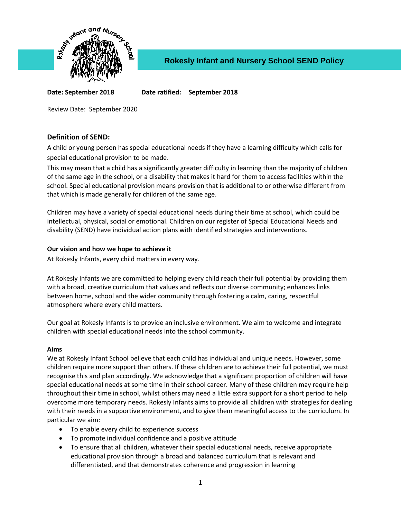

**Date: September 2018 Date ratified: September 2018**

Review Date: September 2020

# **Definition of SEND:**

A child or young person has special educational needs if they have a learning difficulty which calls for special educational provision to be made.

This may mean that a child has a significantly greater difficulty in learning than the majority of children of the same age in the school, or a disability that makes it hard for them to access facilities within the school. Special educational provision means provision that is additional to or otherwise different from that which is made generally for children of the same age.

Children may have a variety of special educational needs during their time at school, which could be intellectual, physical, social or emotional. Children on our register of Special Educational Needs and disability (SEND) have individual action plans with identified strategies and interventions.

## **Our vision and how we hope to achieve it**

At Rokesly Infants, every child matters in every way.

At Rokesly Infants we are committed to helping every child reach their full potential by providing them with a broad, creative curriculum that values and reflects our diverse community; enhances links between home, school and the wider community through fostering a calm, caring, respectful atmosphere where every child matters.

Our goal at Rokesly Infants is to provide an inclusive environment. We aim to welcome and integrate children with special educational needs into the school community.

#### **Aims**

We at Rokesly Infant School believe that each child has individual and unique needs. However, some children require more support than others. If these children are to achieve their full potential, we must recognise this and plan accordingly. We acknowledge that a significant proportion of children will have special educational needs at some time in their school career. Many of these children may require help throughout their time in school, whilst others may need a little extra support for a short period to help overcome more temporary needs. Rokesly Infants aims to provide all children with strategies for dealing with their needs in a supportive environment, and to give them meaningful access to the curriculum. In particular we aim:

- To enable every child to experience success
- To promote individual confidence and a positive attitude
- To ensure that all children, whatever their special educational needs, receive appropriate educational provision through a broad and balanced curriculum that is relevant and differentiated, and that demonstrates coherence and progression in learning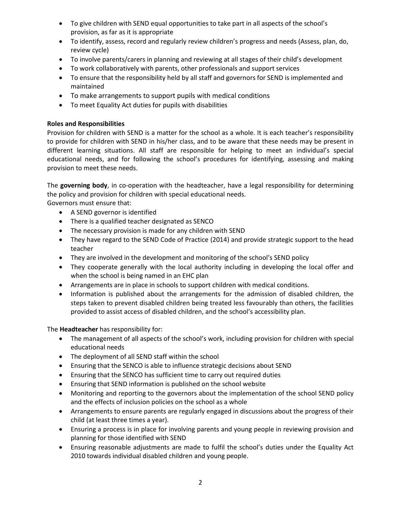- To give children with SEND equal opportunities to take part in all aspects of the school's provision, as far as it is appropriate
- To identify, assess, record and regularly review children's progress and needs (Assess, plan, do, review cycle)
- To involve parents/carers in planning and reviewing at all stages of their child's development
- To work collaboratively with parents, other professionals and support services
- To ensure that the responsibility held by all staff and governors for SEND is implemented and maintained
- To make arrangements to support pupils with medical conditions
- To meet Equality Act duties for pupils with disabilities

## **Roles and Responsibilities**

Provision for children with SEND is a matter for the school as a whole. It is each teacher's responsibility to provide for children with SEND in his/her class, and to be aware that these needs may be present in different learning situations. All staff are responsible for helping to meet an individual's special educational needs, and for following the school's procedures for identifying, assessing and making provision to meet these needs.

The **governing body**, in co-operation with the headteacher, have a legal responsibility for determining the policy and provision for children with special educational needs.

Governors must ensure that:

- A SEND governor is identified
- There is a qualified teacher designated as SENCO
- The necessary provision is made for any children with SEND
- They have regard to the SEND Code of Practice (2014) and provide strategic support to the head teacher
- They are involved in the development and monitoring of the school's SEND policy
- They cooperate generally with the local authority including in developing the local offer and when the school is being named in an EHC plan
- Arrangements are in place in schools to support children with medical conditions.
- Information is published about the arrangements for the admission of disabled children, the steps taken to prevent disabled children being treated less favourably than others, the facilities provided to assist access of disabled children, and the school's accessibility plan.

The **Headteacher** has responsibility for:

- The management of all aspects of the school's work, including provision for children with special educational needs
- The deployment of all SEND staff within the school
- Ensuring that the SENCO is able to influence strategic decisions about SEND
- Ensuring that the SENCO has sufficient time to carry out required duties
- Ensuring that SEND information is published on the school website
- Monitoring and reporting to the governors about the implementation of the school SEND policy and the effects of inclusion policies on the school as a whole
- Arrangements to ensure parents are regularly engaged in discussions about the progress of their child (at least three times a year).
- Ensuring a process is in place for involving parents and young people in reviewing provision and planning for those identified with SEND
- Ensuring reasonable adjustments are made to fulfil the school's duties under the Equality Act 2010 towards individual disabled children and young people.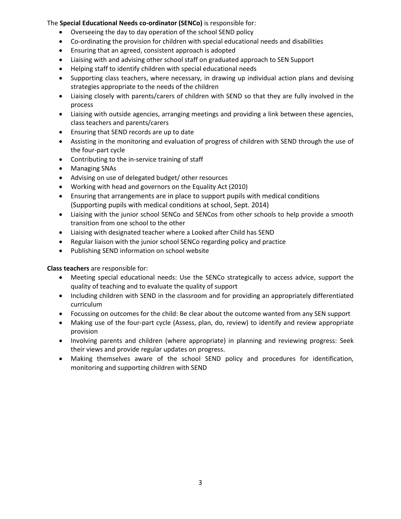## The **Special Educational Needs co-ordinator (SENCo)** is responsible for:

- Overseeing the day to day operation of the school SEND policy
- Co-ordinating the provision for children with special educational needs and disabilities
- Ensuring that an agreed, consistent approach is adopted
- Liaising with and advising other school staff on graduated approach to SEN Support
- Helping staff to identify children with special educational needs
- Supporting class teachers, where necessary, in drawing up individual action plans and devising strategies appropriate to the needs of the children
- Liaising closely with parents/carers of children with SEND so that they are fully involved in the process
- Liaising with outside agencies, arranging meetings and providing a link between these agencies, class teachers and parents/carers
- Ensuring that SEND records are up to date
- Assisting in the monitoring and evaluation of progress of children with SEND through the use of the four-part cycle
- Contributing to the in-service training of staff
- Managing SNAs
- Advising on use of delegated budget/ other resources
- Working with head and governors on the Equality Act (2010)
- Ensuring that arrangements are in place to support pupils with medical conditions (Supporting pupils with medical conditions at school, Sept. 2014)
- Liaising with the junior school SENCo and SENCos from other schools to help provide a smooth transition from one school to the other
- Liaising with designated teacher where a Looked after Child has SEND
- Regular liaison with the junior school SENCo regarding policy and practice
- Publishing SEND information on school website

**Class teachers** are responsible for:

- Meeting special educational needs: Use the SENCo strategically to access advice, support the quality of teaching and to evaluate the quality of support
- Including children with SEND in the classroom and for providing an appropriately differentiated curriculum
- Focussing on outcomes for the child: Be clear about the outcome wanted from any SEN support
- Making use of the four-part cycle (Assess, plan, do, review) to identify and review appropriate provision
- Involving parents and children (where appropriate) in planning and reviewing progress: Seek their views and provide regular updates on progress.
- Making themselves aware of the school SEND policy and procedures for identification, monitoring and supporting children with SEND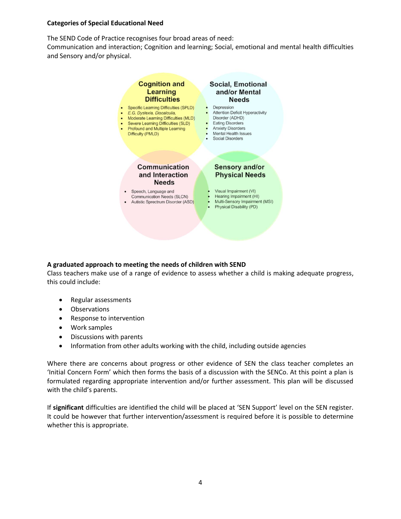#### **Categories of Special Educational Need**

The SEND Code of Practice recognises four broad areas of need:

Communication and interaction; Cognition and learning; Social, emotional and mental health difficulties and Sensory and/or physical.



# **A graduated approach to meeting the needs of children with SEND**

Class teachers make use of a range of evidence to assess whether a child is making adequate progress, this could include:

- Regular assessments
- Observations
- Response to intervention
- Work samples
- Discussions with parents
- Information from other adults working with the child, including outside agencies

Where there are concerns about progress or other evidence of SEN the class teacher completes an 'Initial Concern Form' which then forms the basis of a discussion with the SENCo. At this point a plan is formulated regarding appropriate intervention and/or further assessment. This plan will be discussed with the child's parents.

If **significant** difficulties are identified the child will be placed at 'SEN Support' level on the SEN register. It could be however that further intervention/assessment is required before it is possible to determine whether this is appropriate.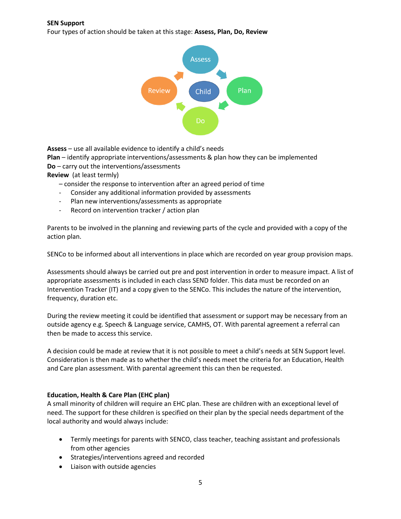#### **SEN Support**

Four types of action should be taken at this stage: **Assess, Plan, Do, Review**



**Assess** – use all available evidence to identify a child's needs

**Plan** – identify appropriate interventions/assessments & plan how they can be implemented

**Do** – carry out the interventions/assessments

**Review** (at least termly)

– consider the response to intervention after an agreed period of time

- Consider any additional information provided by assessments
- Plan new interventions/assessments as appropriate
- Record on intervention tracker / action plan

Parents to be involved in the planning and reviewing parts of the cycle and provided with a copy of the action plan.

SENCo to be informed about all interventions in place which are recorded on year group provision maps.

Assessments should always be carried out pre and post intervention in order to measure impact. A list of appropriate assessments is included in each class SEND folder. This data must be recorded on an Intervention Tracker (IT) and a copy given to the SENCo. This includes the nature of the intervention, frequency, duration etc.

During the review meeting it could be identified that assessment or support may be necessary from an outside agency e.g. Speech & Language service, CAMHS, OT. With parental agreement a referral can then be made to access this service.

A decision could be made at review that it is not possible to meet a child's needs at SEN Support level. Consideration is then made as to whether the child's needs meet the criteria for an Education, Health and Care plan assessment. With parental agreement this can then be requested.

# **Education, Health & Care Plan (EHC plan)**

A small minority of children will require an EHC plan. These are children with an exceptional level of need. The support for these children is specified on their plan by the special needs department of the local authority and would always include:

- Termly meetings for parents with SENCO, class teacher, teaching assistant and professionals from other agencies
- Strategies/interventions agreed and recorded
- Liaison with outside agencies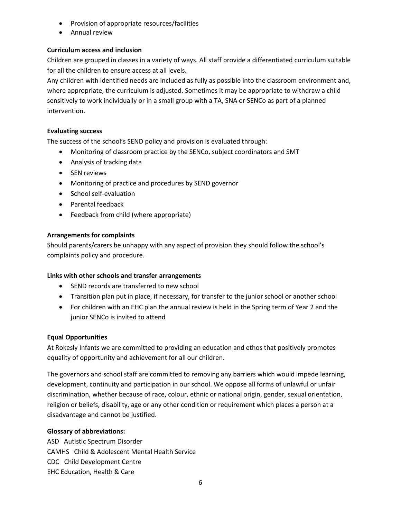- Provision of appropriate resources/facilities
- Annual review

# **Curriculum access and inclusion**

Children are grouped in classes in a variety of ways. All staff provide a differentiated curriculum suitable for all the children to ensure access at all levels.

Any children with identified needs are included as fully as possible into the classroom environment and, where appropriate, the curriculum is adjusted. Sometimes it may be appropriate to withdraw a child sensitively to work individually or in a small group with a TA, SNA or SENCo as part of a planned intervention.

## **Evaluating success**

The success of the school's SEND policy and provision is evaluated through:

- Monitoring of classroom practice by the SENCo, subject coordinators and SMT
- Analysis of tracking data
- SEN reviews
- Monitoring of practice and procedures by SEND governor
- School self-evaluation
- Parental feedback
- Feedback from child (where appropriate)

## **Arrangements for complaints**

Should parents/carers be unhappy with any aspect of provision they should follow the school's complaints policy and procedure.

#### **Links with other schools and transfer arrangements**

- SEND records are transferred to new school
- Transition plan put in place, if necessary, for transfer to the junior school or another school
- For children with an EHC plan the annual review is held in the Spring term of Year 2 and the junior SENCo is invited to attend

#### **Equal Opportunities**

At Rokesly Infants we are committed to providing an education and ethos that positively promotes equality of opportunity and achievement for all our children.

The governors and school staff are committed to removing any barriers which would impede learning, development, continuity and participation in our school. We oppose all forms of unlawful or unfair discrimination, whether because of race, colour, ethnic or national origin, gender, sexual orientation, religion or beliefs, disability, age or any other condition or requirement which places a person at a disadvantage and cannot be justified.

# **Glossary of abbreviations:**

ASD Autistic Spectrum Disorder CAMHS Child & Adolescent Mental Health Service CDC Child Development Centre EHC Education, Health & Care